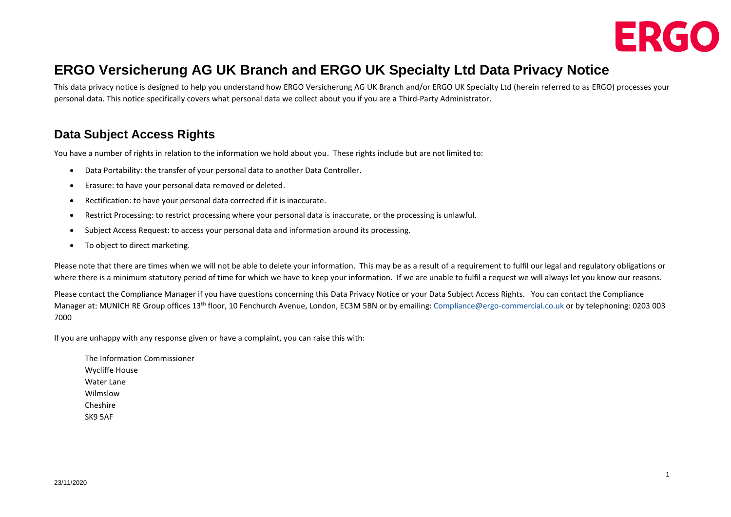

# **ERGO Versicherung AG UK Branch and ERGO UK Specialty Ltd Data Privacy Notice**

This data privacy notice is designed to help you understand how ERGO Versicherung AG UK Branch and/or ERGO UK Specialty Ltd (herein referred to as ERGO) processes your personal data. This notice specifically covers what personal data we collect about you if you are a Third-Party Administrator.

#### **Data Subject Access Rights**

You have a number of rights in relation to the information we hold about you. These rights include but are not limited to:

- Data Portability: the transfer of your personal data to another Data Controller.
- Erasure: to have your personal data removed or deleted.
- Rectification: to have your personal data corrected if it is inaccurate.
- Restrict Processing: to restrict processing where your personal data is inaccurate, or the processing is unlawful.
- Subject Access Request: to access your personal data and information around its processing.
- To object to direct marketing.

Please note that there are times when we will not be able to delete your information. This may be as a result of a reguirement to fulfil our legal and regulatory obligations or where there is a minimum statutory period of time for which we have to keep your information. If we are unable to fulfil a request we will always let you know our reasons.

Please contact the Compliance Manager if you have questions concerning this Data Privacy Notice or your Data Subject Access Rights. You can contact the Compliance Manager at: MUNICH RE Group offices 13<sup>th</sup> floor, 10 Fenchurch Avenue, London, EC3M 5BN or by emailing[: Compliance@ergo-commercial.co.uk](mailto:Compliance@ergo-commercial.co.uk) or by telephoning: 0203 003 7000

If you are unhappy with any response given or have a complaint, you can raise this with:

The Information Commissioner Wycliffe House Water Lane Wilmslow Cheshire SK9 5AF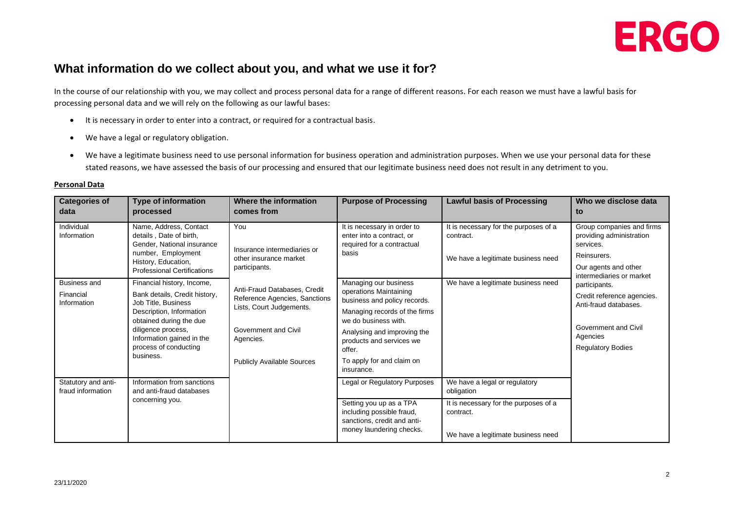

#### **What information do we collect about you, and what we use it for?**

In the course of our relationship with you, we may collect and process personal data for a range of different reasons. For each reason we must have a lawful basis for processing personal data and we will rely on the following as our lawful bases:

- It is necessary in order to enter into a contract, or required for a contractual basis.
- We have a legal or regulatory obligation.
- We have a legitimate business need to use personal information for business operation and administration purposes. When we use your personal data for these stated reasons, we have assessed the basis of our processing and ensured that our legitimate business need does not result in any detriment to you.

| <b>Categories of</b><br>data                    | <b>Type of information</b><br>processed                                                                                                                                                                                                                                  | Where the information<br>comes from                                                                                                                                                  | <b>Purpose of Processing</b>                                                                                                                                                                                                               | <b>Lawful basis of Processing</b>                                                                                                       | Who we disclose data<br>to                                                                                                                                                               |
|-------------------------------------------------|--------------------------------------------------------------------------------------------------------------------------------------------------------------------------------------------------------------------------------------------------------------------------|--------------------------------------------------------------------------------------------------------------------------------------------------------------------------------------|--------------------------------------------------------------------------------------------------------------------------------------------------------------------------------------------------------------------------------------------|-----------------------------------------------------------------------------------------------------------------------------------------|------------------------------------------------------------------------------------------------------------------------------------------------------------------------------------------|
| Individual<br>Information                       | Name, Address, Contact<br>details, Date of birth,<br>Gender, National insurance<br>number, Employment<br>History, Education,                                                                                                                                             | You<br>Insurance intermediaries or<br>other insurance market                                                                                                                         | It is necessary in order to<br>enter into a contract, or<br>required for a contractual<br>basis                                                                                                                                            | It is necessary for the purposes of a<br>contract.<br>We have a legitimate business need                                                | Group companies and firms<br>providing administration<br>services.<br>Reinsurers.                                                                                                        |
| <b>Business and</b><br>Financial<br>Information | <b>Professional Certifications</b><br>Financial history, Income,<br>Bank details, Credit history,<br>Job Title, Business<br>Description, Information<br>obtained during the due<br>diligence process,<br>Information gained in the<br>process of conducting<br>business. | participants.<br>Anti-Fraud Databases, Credit<br>Reference Agencies, Sanctions<br>Lists, Court Judgements.<br>Government and Civil<br>Agencies.<br><b>Publicly Available Sources</b> | Managing our business<br>operations Maintaining<br>business and policy records.<br>Managing records of the firms<br>we do business with.<br>Analysing and improving the<br>products and services we<br>offer.<br>To apply for and claim on | We have a legitimate business need                                                                                                      | Our agents and other<br>intermediaries or market<br>participants.<br>Credit reference agencies.<br>Anti-fraud databases.<br>Government and Civil<br>Agencies<br><b>Regulatory Bodies</b> |
| Statutory and anti-<br>fraud information        | Information from sanctions<br>and anti-fraud databases<br>concerning you.                                                                                                                                                                                                |                                                                                                                                                                                      | insurance.<br>Legal or Regulatory Purposes<br>Setting you up as a TPA<br>including possible fraud,<br>sanctions, credit and anti-<br>money laundering checks.                                                                              | We have a legal or regulatory<br>obligation<br>It is necessary for the purposes of a<br>contract.<br>We have a legitimate business need |                                                                                                                                                                                          |

#### **Personal Data**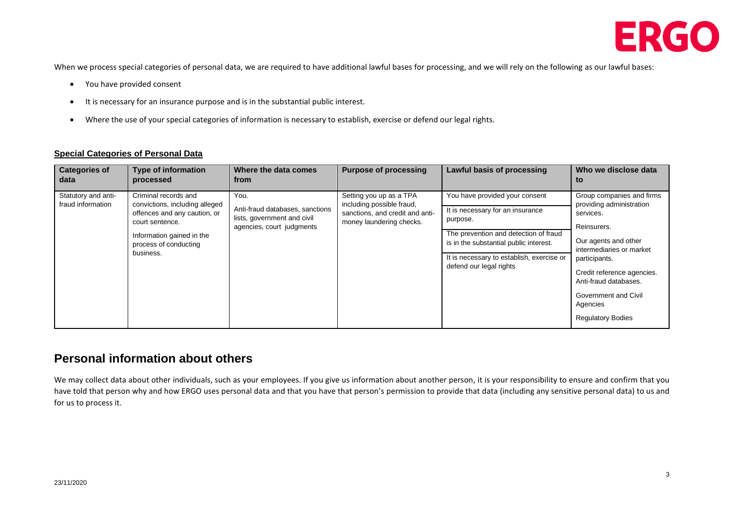

When we process special categories of personal data, we are required to have additional lawful bases for processing, and we will rely on the following as our lawful bases:

- You have provided consent
- It is necessary for an insurance purpose and is in the substantial public interest.
- Where the use of your special categories of information is necessary to establish, exercise or defend our legal rights.

#### **Special Categories of Personal Data**

| <b>Categories of</b><br>data             | <b>Type of information</b><br>processed                                                                                                                                      | Where the data comes<br>from                                                                        | <b>Purpose of processing</b>                                                                                        | Lawful basis of processing                                                                                                                                                                                                                | Who we disclose data<br>to                                                                                                                                                                                                                                                    |
|------------------------------------------|------------------------------------------------------------------------------------------------------------------------------------------------------------------------------|-----------------------------------------------------------------------------------------------------|---------------------------------------------------------------------------------------------------------------------|-------------------------------------------------------------------------------------------------------------------------------------------------------------------------------------------------------------------------------------------|-------------------------------------------------------------------------------------------------------------------------------------------------------------------------------------------------------------------------------------------------------------------------------|
| Statutory and anti-<br>fraud information | Criminal records and<br>convictions, including alleged<br>offences and any caution, or<br>court sentence.<br>Information gained in the<br>process of conducting<br>business. | You.<br>Anti-fraud databases, sanctions<br>lists, government and civil<br>agencies, court judgments | Setting you up as a TPA<br>including possible fraud,<br>sanctions, and credit and anti-<br>money laundering checks. | You have provided your consent<br>It is necessary for an insurance<br>purpose.<br>The prevention and detection of fraud<br>is in the substantial public interest.<br>It is necessary to establish, exercise or<br>defend our legal rights | Group companies and firms<br>providing administration<br>services.<br>Reinsurers.<br>Our agents and other<br>intermediaries or market<br>participants.<br>Credit reference agencies.<br>Anti-fraud databases.<br>Government and Civil<br>Agencies<br><b>Regulatory Bodies</b> |

#### **Personal information about others**

We may collect data about other individuals, such as your employees. If you give us information about another person, it is your responsibility to ensure and confirm that you have told that person why and how ERGO uses personal data and that you have that person's permission to provide that data (including any sensitive personal data) to us and for us to process it.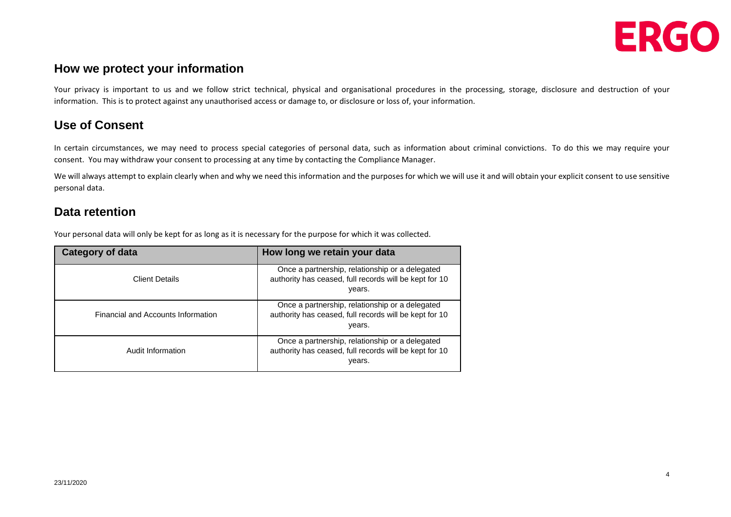

4

#### **How we protect your information**

Your privacy is important to us and we follow strict technical, physical and organisational procedures in the processing, storage, disclosure and destruction of your information. This is to protect against any unauthorised access or damage to, or disclosure or loss of, your information.

#### **Use of Consent**

In certain circumstances, we may need to process special categories of personal data, such as information about criminal convictions. To do this we may require your consent. You may withdraw your consent to processing at any time by contacting the Compliance Manager.

We will always attempt to explain clearly when and why we need this information and the purposes for which we will use it and will obtain your explicit consent to use sensitive personal data.

#### **Data retention**

Your personal data will only be kept for as long as it is necessary for the purpose for which it was collected.

| <b>Category of data</b>            | How long we retain your data                                                                                        |  |  |
|------------------------------------|---------------------------------------------------------------------------------------------------------------------|--|--|
| <b>Client Details</b>              | Once a partnership, relationship or a delegated<br>authority has ceased, full records will be kept for 10<br>years. |  |  |
| Financial and Accounts Information | Once a partnership, relationship or a delegated<br>authority has ceased, full records will be kept for 10<br>years. |  |  |
| Audit Information                  | Once a partnership, relationship or a delegated<br>authority has ceased, full records will be kept for 10<br>years. |  |  |